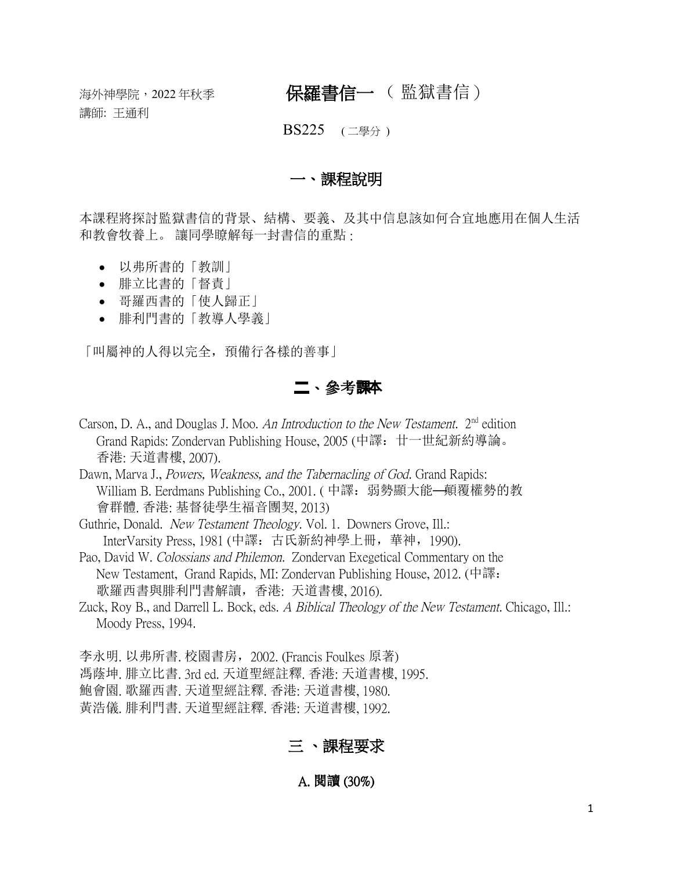講師: 王通利

# 海外神學院,<sup>2022</sup> 年秋季 保羅書信一 ( 監獄書信)

#### BS225 (二學分)

### 一、課程說明

本課程將探討監獄書信的背景、結構、要義、及其中信息該如何合宜地應用在個人生活 和教會牧養上。 讓同學瞭解每一封書信的重點 :

- 以弗所書的「教訓」
- 腓立比書的「督責」
- 哥羅西書的「使人歸正」
- 腓利門書的「教導人學義」

「叫屬神的人得以完全,預備行各樣的善事」

### 二、參考課本

Carson, D. A., and Douglas J. Moo. An Introduction to the New Testament.  $2<sup>nd</sup>$  edition Grand Rapids: Zondervan Publishing House, 2005 (中譯:廿一世紀新約導論。 香港: 天道書樓, 2007).

Dawn, Marva J., Powers, Weakness, and the Tabernacling of God. Grand Rapids: William B. Eerdmans Publishing Co., 2001. (中譯: 弱勢顯大能—顛覆權勢的教 會群體. 香港: 基督徒學生福音團契, 2013)

- Guthrie, Donald. New Testament Theology. Vol. 1. Downers Grove, Ill.: InterVarsity Press, 1981 (中譯:古氏新約神學上冊,華神,1990).
- Pao, David W. Colossians and Philemon. Zondervan Exegetical Commentary on the New Testament, Grand Rapids, MI: Zondervan Publishing House, 2012. (中譯: 歌羅西書與腓利門書解讀,香港: 天道書樓, 2016).
- Zuck, Roy B., and Darrell L. Bock, eds. A Biblical Theology of the New Testament. Chicago, Ill.: Moody Press, 1994.
- 李永明. 以弗所書. 校園書房,2002. (Francis Foulkes 原著) 馮蔭坤. 腓立比書. 3rd ed. 天道聖經註釋. 香港: 天道書樓, 1995. 鮑會園. 歌羅西書. 天道聖經註釋. 香港: 天道書樓, 1980.
- 黃浩儀. 腓利門書. 天道聖經註釋. 香港: 天道書樓, 1992.

## 三 、課程要求

#### A. 閱讀 (30%)